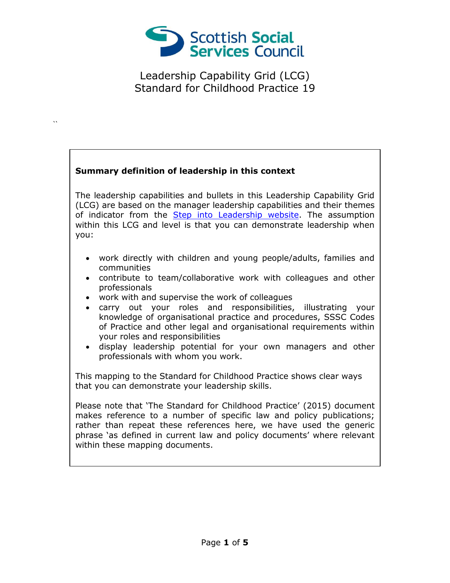

## **Summary definition of leadership in this context**

 $\ddot{\phantom{0}}$ 

The leadership capabilities and bullets in this Leadership Capability Grid (LCG) are based on the manager leadership capabilities and their themes of indicator from the [Step into Leadership website.](http://www.stepintoleadership.info/) The assumption within this LCG and level is that you can demonstrate leadership when you:

- work directly with children and young people/adults, families and communities
- contribute to team/collaborative work with colleagues and other professionals
- work with and supervise the work of colleagues
- carry out your roles and responsibilities, illustrating your knowledge of organisational practice and procedures, SSSC Codes of Practice and other legal and organisational requirements within your roles and responsibilities
- display leadership potential for your own managers and other professionals with whom you work.

This mapping to the Standard for Childhood Practice shows clear ways that you can demonstrate your leadership skills.

Please note that 'The Standard for Childhood Practice' (2015) document makes reference to a number of specific law and policy publications; rather than repeat these references here, we have used the generic phrase 'as defined in current law and policy documents' where relevant within these mapping documents.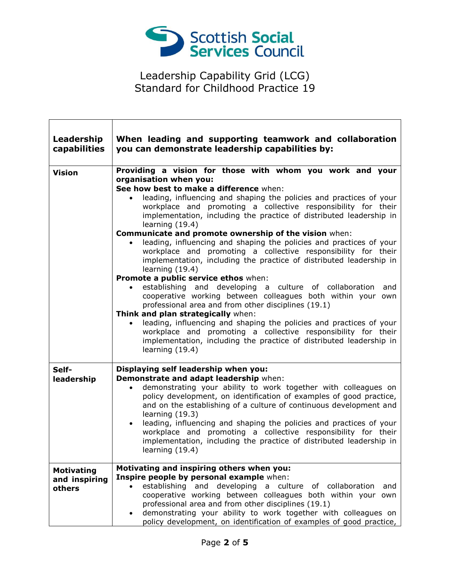

 $\Gamma$ 

| Leadership<br>capabilities                   | When leading and supporting teamwork and collaboration<br>you can demonstrate leadership capabilities by:                                                                                                                                                                                                                                                                                                                                                                                                                                                                                                                                                                                                                                                                                                                                                                                                                                                                                                                                                                                                                                                          |
|----------------------------------------------|--------------------------------------------------------------------------------------------------------------------------------------------------------------------------------------------------------------------------------------------------------------------------------------------------------------------------------------------------------------------------------------------------------------------------------------------------------------------------------------------------------------------------------------------------------------------------------------------------------------------------------------------------------------------------------------------------------------------------------------------------------------------------------------------------------------------------------------------------------------------------------------------------------------------------------------------------------------------------------------------------------------------------------------------------------------------------------------------------------------------------------------------------------------------|
| <b>Vision</b>                                | Providing a vision for those with whom you work and your<br>organisation when you:<br>See how best to make a difference when:<br>leading, influencing and shaping the policies and practices of your<br>workplace and promoting a collective responsibility for their<br>implementation, including the practice of distributed leadership in<br>learning $(19.4)$<br>Communicate and promote ownership of the vision when:<br>leading, influencing and shaping the policies and practices of your<br>workplace and promoting a collective responsibility for their<br>implementation, including the practice of distributed leadership in<br>learning (19.4)<br>Promote a public service ethos when:<br>establishing and developing a culture of collaboration and<br>cooperative working between colleagues both within your own<br>professional area and from other disciplines (19.1)<br>Think and plan strategically when:<br>leading, influencing and shaping the policies and practices of your<br>workplace and promoting a collective responsibility for their<br>implementation, including the practice of distributed leadership in<br>learning $(19.4)$ |
| Self-<br>leadership                          | Displaying self leadership when you:<br>Demonstrate and adapt leadership when:<br>demonstrating your ability to work together with colleagues on<br>$\bullet$<br>policy development, on identification of examples of good practice,<br>and on the establishing of a culture of continuous development and<br>learning (19.3)<br>leading, influencing and shaping the policies and practices of your<br>$\bullet$<br>workplace and promoting a collective responsibility for their<br>implementation, including the practice of distributed leadership in<br>learning (19.4)                                                                                                                                                                                                                                                                                                                                                                                                                                                                                                                                                                                       |
| <b>Motivating</b><br>and inspiring<br>others | Motivating and inspiring others when you:<br>Inspire people by personal example when:<br>establishing and developing a culture of collaboration<br>and<br>cooperative working between colleagues both within your own<br>professional area and from other disciplines (19.1)<br>demonstrating your ability to work together with colleagues on<br>$\bullet$<br>policy development, on identification of examples of good practice,                                                                                                                                                                                                                                                                                                                                                                                                                                                                                                                                                                                                                                                                                                                                 |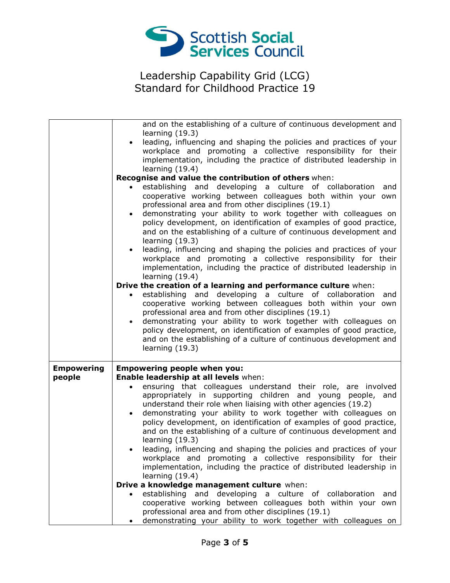

|                   | and on the establishing of a culture of continuous development and<br>learning (19.3)<br>leading, influencing and shaping the policies and practices of your<br>$\bullet$<br>workplace and promoting a collective responsibility for their<br>implementation, including the practice of distributed leadership in<br>learning $(19.4)$<br>Recognise and value the contribution of others when:<br>establishing and developing a culture of collaboration and<br>$\bullet$<br>cooperative working between colleagues both within your own<br>professional area and from other disciplines (19.1)<br>demonstrating your ability to work together with colleagues on<br>$\bullet$<br>policy development, on identification of examples of good practice,<br>and on the establishing of a culture of continuous development and<br>learning (19.3)<br>leading, influencing and shaping the policies and practices of your<br>$\bullet$<br>workplace and promoting a collective responsibility for their<br>implementation, including the practice of distributed leadership in<br>learning $(19.4)$ |
|-------------------|-------------------------------------------------------------------------------------------------------------------------------------------------------------------------------------------------------------------------------------------------------------------------------------------------------------------------------------------------------------------------------------------------------------------------------------------------------------------------------------------------------------------------------------------------------------------------------------------------------------------------------------------------------------------------------------------------------------------------------------------------------------------------------------------------------------------------------------------------------------------------------------------------------------------------------------------------------------------------------------------------------------------------------------------------------------------------------------------------|
|                   | Drive the creation of a learning and performance culture when:                                                                                                                                                                                                                                                                                                                                                                                                                                                                                                                                                                                                                                                                                                                                                                                                                                                                                                                                                                                                                                  |
|                   | establishing and developing a culture of collaboration<br>and<br>cooperative working between colleagues both within your own<br>professional area and from other disciplines (19.1)<br>demonstrating your ability to work together with colleagues on<br>$\bullet$<br>policy development, on identification of examples of good practice,<br>and on the establishing of a culture of continuous development and<br>learning $(19.3)$                                                                                                                                                                                                                                                                                                                                                                                                                                                                                                                                                                                                                                                            |
| <b>Empowering</b> | <b>Empowering people when you:</b>                                                                                                                                                                                                                                                                                                                                                                                                                                                                                                                                                                                                                                                                                                                                                                                                                                                                                                                                                                                                                                                              |
| people            | Enable leadership at all levels when:                                                                                                                                                                                                                                                                                                                                                                                                                                                                                                                                                                                                                                                                                                                                                                                                                                                                                                                                                                                                                                                           |
|                   | ensuring that colleagues understand their role, are involved<br>appropriately in supporting children and young people, and<br>understand their role when liaising with other agencies (19.2)<br>demonstrating your ability to work together with colleagues on<br>$\bullet$<br>policy development, on identification of examples of good practice,<br>and on the establishing of a culture of continuous development and<br>learning $(19.3)$                                                                                                                                                                                                                                                                                                                                                                                                                                                                                                                                                                                                                                                   |
|                   | leading, influencing and shaping the policies and practices of your<br>workplace and promoting a collective responsibility for their<br>implementation, including the practice of distributed leadership in<br>learning $(19.4)$                                                                                                                                                                                                                                                                                                                                                                                                                                                                                                                                                                                                                                                                                                                                                                                                                                                                |
|                   | Drive a knowledge management culture when:                                                                                                                                                                                                                                                                                                                                                                                                                                                                                                                                                                                                                                                                                                                                                                                                                                                                                                                                                                                                                                                      |
|                   | establishing and developing a culture of collaboration<br>and<br>cooperative working between colleagues both within your own<br>professional area and from other disciplines (19.1)<br>demonstrating your ability to work together with colleagues on                                                                                                                                                                                                                                                                                                                                                                                                                                                                                                                                                                                                                                                                                                                                                                                                                                           |
|                   |                                                                                                                                                                                                                                                                                                                                                                                                                                                                                                                                                                                                                                                                                                                                                                                                                                                                                                                                                                                                                                                                                                 |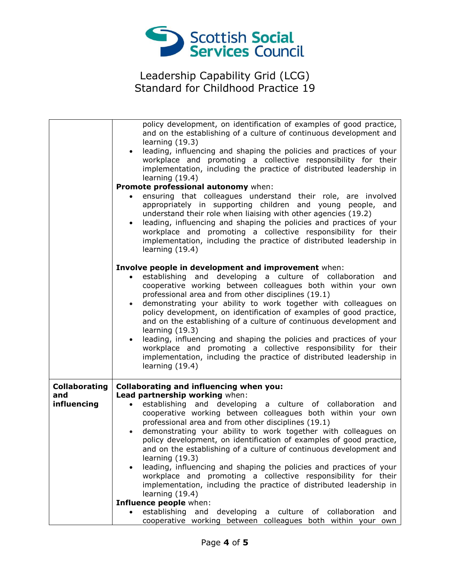

|                      | policy development, on identification of examples of good practice,                      |
|----------------------|------------------------------------------------------------------------------------------|
|                      | and on the establishing of a culture of continuous development and                       |
|                      | learning $(19.3)$                                                                        |
|                      | leading, influencing and shaping the policies and practices of your<br>$\bullet$         |
|                      | workplace and promoting a collective responsibility for their                            |
|                      | implementation, including the practice of distributed leadership in                      |
|                      | learning $(19.4)$                                                                        |
|                      | Promote professional autonomy when:                                                      |
|                      | ensuring that colleagues understand their role, are involved                             |
|                      | appropriately in supporting children and young people, and                               |
|                      | understand their role when liaising with other agencies (19.2)                           |
|                      | leading, influencing and shaping the policies and practices of your<br>$\bullet$         |
|                      | workplace and promoting a collective responsibility for their                            |
|                      | implementation, including the practice of distributed leadership in                      |
|                      | learning $(19.4)$                                                                        |
|                      | Involve people in development and improvement when:                                      |
|                      | establishing and developing a culture of collaboration<br>and                            |
|                      | cooperative working between colleagues both within your own                              |
|                      | professional area and from other disciplines (19.1)                                      |
|                      | demonstrating your ability to work together with colleagues on<br>$\bullet$              |
|                      | policy development, on identification of examples of good practice,                      |
|                      | and on the establishing of a culture of continuous development and                       |
|                      | learning $(19.3)$                                                                        |
|                      | leading, influencing and shaping the policies and practices of your<br>$\bullet$         |
|                      | workplace and promoting a collective responsibility for their                            |
|                      | implementation, including the practice of distributed leadership in                      |
|                      | learning (19.4)                                                                          |
|                      |                                                                                          |
| <b>Collaborating</b> | <b>Collaborating and influencing when you:</b>                                           |
| and                  | Lead partnership working when:                                                           |
| influencing          | establishing and developing a culture of collaboration<br>$\bullet$<br>and               |
|                      | cooperative working between colleagues both within your own                              |
|                      | professional area and from other disciplines (19.1)                                      |
|                      | demonstrating your ability to work together with colleagues on<br>$\bullet$              |
|                      | policy development, on identification of examples of good practice,                      |
|                      | and on the establishing of a culture of continuous development and                       |
|                      | learning $(19.3)$<br>leading, influencing and shaping the policies and practices of your |
|                      | workplace and promoting a collective responsibility for their                            |
|                      | implementation, including the practice of distributed leadership in                      |
|                      | learning (19.4)                                                                          |
|                      | Influence people when:                                                                   |
|                      | establishing and developing<br>culture<br>of collaboration<br>and<br>a                   |
|                      | cooperative working between colleagues both within your<br>own                           |